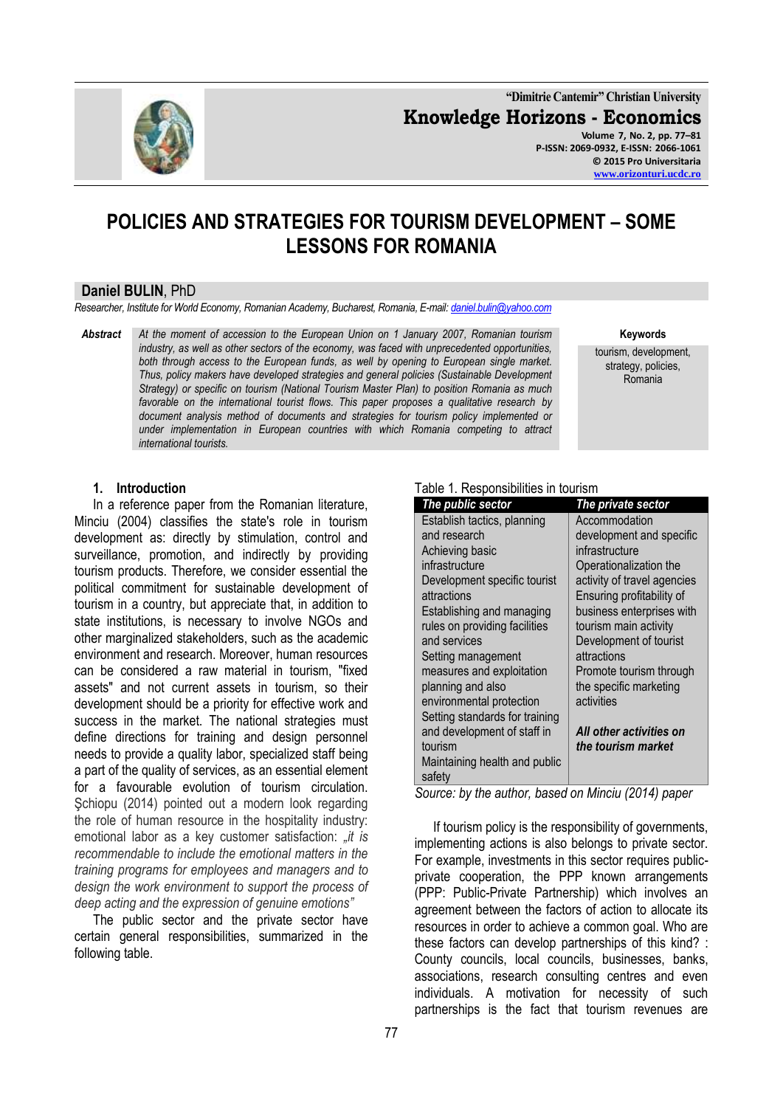

**"Dimitrie Cantemir" Christian University Knowledge Horizons - Economics Volume 7, No. 2, pp. 77–81 P-ISSN: 2069-0932, E-ISSN: 2066-1061**

**© 2015 Pro Universitaria [www.orizonturi.ucdc.ro](http://www.orizonturi.ucdc.ro/)**

# **POLICIES AND STRATEGIES FOR TOURISM DEVELOPMENT – SOME LESSONS FOR ROMANIA**

#### **Daniel BULIN**, PhD

*Researcher, Institute for World Economy, Romanian Academy, Bucharest, Romania, E-mail[: daniel.bulin@yahoo.com](mailto:daniel.bulin@yahoo.com)*

*Abstract At the moment of accession to the European Union on 1 January 2007, Romanian tourism industry, as well as other sectors of the economy, was faced with unprecedented opportunities, both through access to the European funds, as well by opening to European single market. Thus, policy makers have developed strategies and general policies (Sustainable Development Strategy) or specific on tourism (National Tourism Master Plan) to position Romania as much favorable on the international tourist flows. This paper proposes a qualitative research by document analysis method of documents and strategies for tourism policy implemented or under implementation in European countries with which Romania competing to attract international tourists.*

**Keywords**

tourism, development, strategy, policies, Romania

# **1. Introduction**

In a reference paper from the Romanian literature, Minciu (2004) classifies the state's role in tourism development as: directly by stimulation, control and surveillance, promotion, and indirectly by providing tourism products. Therefore, we consider essential the political commitment for sustainable development of tourism in a country, but appreciate that, in addition to state institutions, is necessary to involve NGOs and other marginalized stakeholders, such as the academic environment and research. Moreover, human resources can be considered a raw material in tourism, "fixed assets" and not current assets in tourism, so their development should be a priority for effective work and success in the market. The national strategies must define directions for training and design personnel needs to provide a quality labor, specialized staff being a part of the quality of services, as an essential element for a favourable evolution of tourism circulation. Schiopu (2014) pointed out a modern look regarding the role of human resource in the hospitality industry: emotional labor as a key customer satisfaction: *"it is recommendable to include the emotional matters in the training programs for employees and managers and to design the work environment to support the process of deep acting and the expression of genuine emotions"*

The public sector and the private sector have certain general responsibilities, summarized in the following table.

#### Table 1. Responsibilities in tourism

| The public sector              | The private sector          |
|--------------------------------|-----------------------------|
| Establish tactics, planning    | Accommodation               |
| and research                   | development and specific    |
| Achieving basic                | infrastructure              |
| infrastructure                 | Operationalization the      |
| Development specific tourist   | activity of travel agencies |
| attractions                    | Ensuring profitability of   |
| Establishing and managing      | business enterprises with   |
| rules on providing facilities  | tourism main activity       |
| and services                   | Development of tourist      |
| Setting management             | attractions                 |
| measures and exploitation      | Promote tourism through     |
| planning and also              | the specific marketing      |
| environmental protection       | activities                  |
| Setting standards for training |                             |
| and development of staff in    | All other activities on     |
| tourism                        | the tourism market          |
| Maintaining health and public  |                             |
| safety                         |                             |

*Source: by the author, based on Minciu (2014) paper*

If tourism policy is the responsibility of governments, implementing actions is also belongs to private sector. For example, investments in this sector requires publicprivate cooperation, the PPP known arrangements (PPP: Public-Private Partnership) which involves an agreement between the factors of action to allocate its resources in order to achieve a common goal. Who are these factors can develop partnerships of this kind? : County councils, local councils, businesses, banks, associations, research consulting centres and even individuals. A motivation for necessity of such partnerships is the fact that tourism revenues are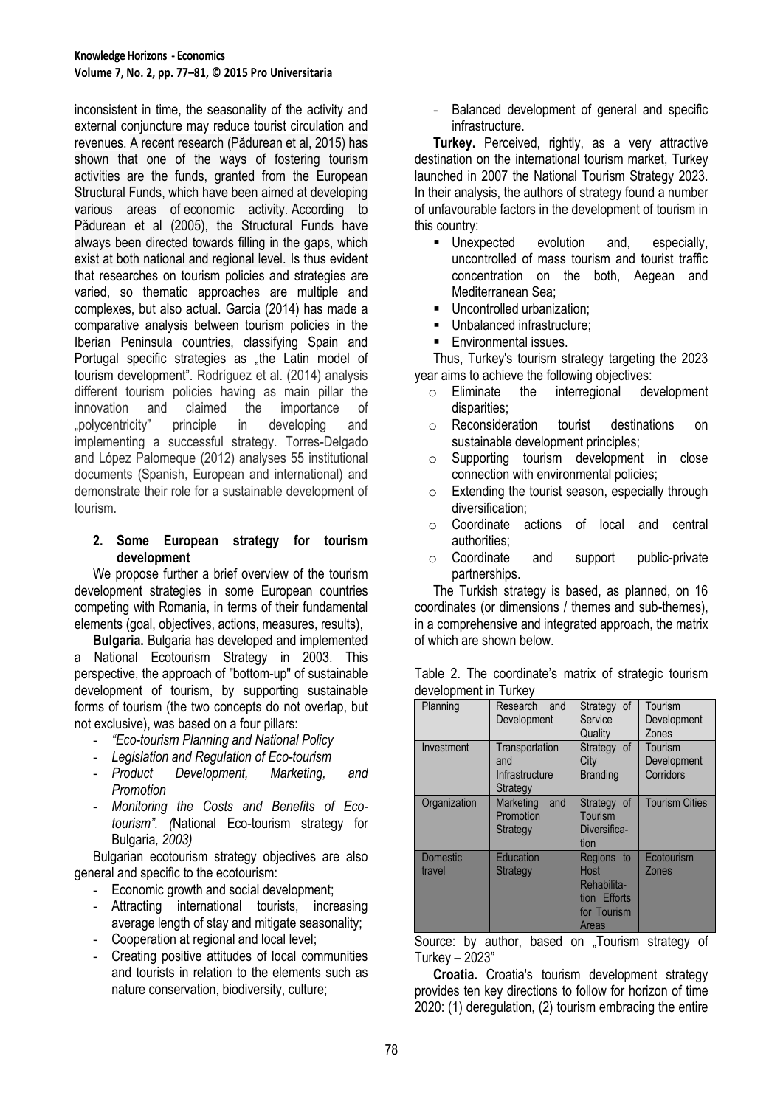inconsistent in time, the seasonality of the activity and external conjuncture may reduce tourist circulation and revenues. A recent research (Pădurean et al, 2015) has shown that one of the ways of fostering tourism activities are the funds, granted from the European Structural Funds, which have been aimed at developing various areas of economic activity. According to Pădurean et al (2005), the Structural Funds have always been directed towards filling in the gaps, which exist at both national and regional level. Is thus evident that researches on tourism policies and strategies are varied, so thematic approaches are multiple and complexes, but also actual. Garcia (2014) has made a comparative analysis between tourism policies in the Iberian Peninsula countries, classifying Spain and Portugal specific strategies as "the Latin model of tourism development". Rodríguez et al. (2014) analysis different tourism policies having as main pillar the innovation and claimed the importance of "polycentricity" principle in developing and implementing a successful strategy. Torres-Delgado and López Palomeque (2012) analyses 55 institutional documents (Spanish, European and international) and demonstrate their role for a sustainable development of tourism.

# **2. Some European strategy for tourism development**

We propose further a brief overview of the tourism development strategies in some European countries competing with Romania, in terms of their fundamental elements (goal, objectives, actions, measures, results),

**Bulgaria.** Bulgaria has developed and implemented a National Ecotourism Strategy in 2003. This perspective, the approach of "bottom-up" of sustainable development of tourism, by supporting sustainable forms of tourism (the two concepts do not overlap, but not exclusive), was based on a four pillars:

- *"Eco-tourism Planning and National Policy*
- 
- *Legislation and Regulation of Eco-tourism* Development, Marketing, and *Promotion*
- *Monitoring the Costs and Benefits of Ecotourism". (*National Eco-tourism strategy for Bulgaria*, 2003)*

Bulgarian ecotourism strategy objectives are also general and specific to the ecotourism:

- Economic growth and social development;
- Attracting international tourists, increasing average length of stay and mitigate seasonality;
- Cooperation at regional and local level;
- Creating positive attitudes of local communities and tourists in relation to the elements such as nature conservation, biodiversity, culture;

- Balanced development of general and specific infrastructure.

**Turkey.** Perceived, rightly, as a very attractive destination on the international tourism market, Turkey launched in 2007 the National Tourism Strategy 2023. In their analysis, the authors of strategy found a number of unfavourable factors in the development of tourism in this country:

- **Unexpected** evolution and, especially, uncontrolled of mass tourism and tourist traffic concentration on the both, Aegean and Mediterranean Sea;
- **Uncontrolled urbanization:**
- Unbalanced infrastructure;
- **Environmental issues.**

Thus, Turkey's tourism strategy targeting the 2023 year aims to achieve the following objectives:

- o Eliminate the interregional development disparities;
- o Reconsideration tourist destinations on sustainable development principles;
- o Supporting tourism development in close connection with environmental policies;
- $\circ$  Extending the tourist season, especially through diversification;
- o Coordinate actions of local and central authorities;
- o Coordinate and support public-private partnerships.

The Turkish strategy is based, as planned, on 16 coordinates (or dimensions / themes and sub-themes), in a comprehensive and integrated approach, the matrix of which are shown below.

|  | Table 2. The coordinate's matrix of strategic tourism |  |  |
|--|-------------------------------------------------------|--|--|
|  | development in Turkey                                 |  |  |

| Planning                  | and<br>Research<br>Development                      | Strategy of<br>Service<br>Quality                                         | Tourism<br>Development<br>Zones     |
|---------------------------|-----------------------------------------------------|---------------------------------------------------------------------------|-------------------------------------|
| Investment                | Transportation<br>and<br>Infrastructure<br>Strategy | Strategy of<br>City<br><b>Branding</b>                                    | Tourism<br>Development<br>Corridors |
| Organization              | Marketing<br>and<br>Promotion<br><b>Strategy</b>    | Strategy of<br>Tourism<br>Diversifica-<br>tion                            | <b>Tourism Cities</b>               |
| <b>Domestic</b><br>travel | <b>Education</b><br><b>Strategy</b>                 | Regions to<br>Host<br>Rehabilita-<br>tion Efforts<br>for Tourism<br>Areas | Ecotourism<br>Zones                 |

Source: by author, based on "Tourism strategy of Turkey – 2023"

**Croatia.** Croatia's tourism development strategy provides ten key directions to follow for horizon of time 2020: (1) deregulation, (2) tourism embracing the entire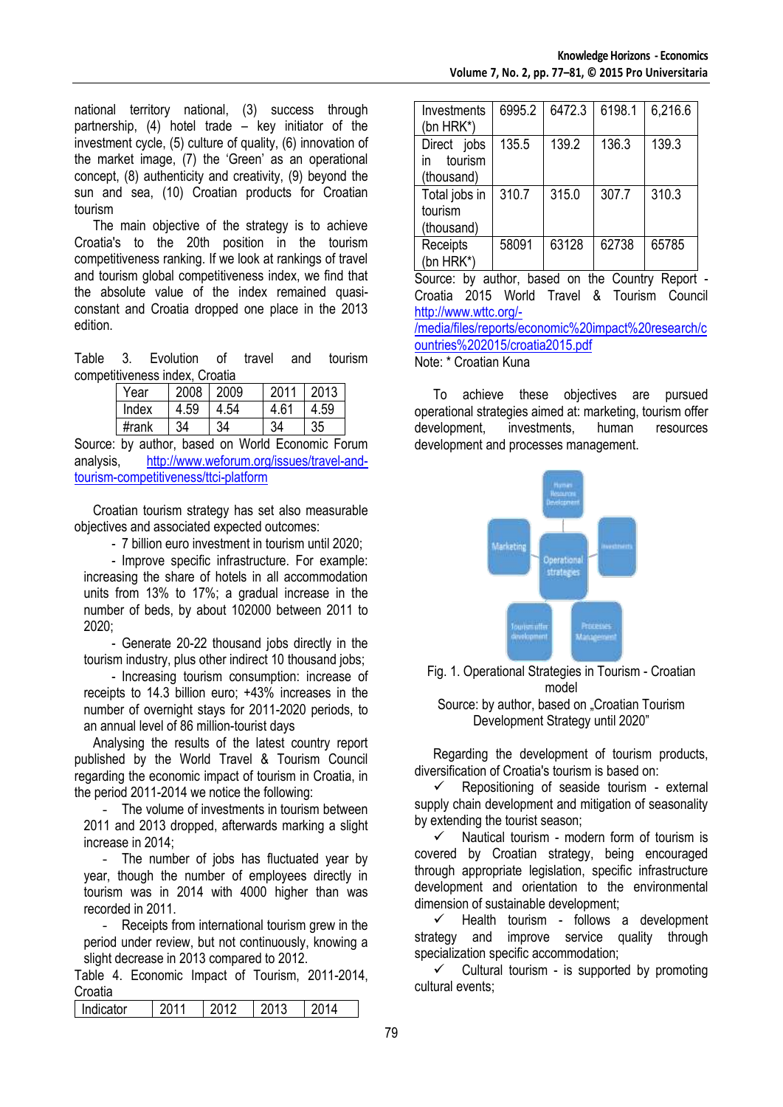national territory national, (3) success through partnership, (4) hotel trade – key initiator of the investment cycle, (5) culture of quality, (6) innovation of the market image, (7) the 'Green' as an operational concept, (8) authenticity and creativity, (9) beyond the sun and sea, (10) Croatian products for Croatian tourism

The main objective of the strategy is to achieve Croatia's to the 20th position in the tourism competitiveness ranking. If we look at rankings of travel and tourism global competitiveness index, we find that the absolute value of the index remained quasiconstant and Croatia dropped one place in the 2013 edition.

Table 3. Evolution of travel and tourism competitiveness index, Croatia

| Year  | 2008 | 2009 | 2011 | 2013 |
|-------|------|------|------|------|
| Index | 4.59 | 4.54 | 4.61 |      |
| #rank | 34   | 34   | لا⊁  |      |

Source: by author, based on World Economic Forum analysis, [http://www.weforum.org/issues/travel-and](http://www.weforum.org/issues/travel-and-tourism-competitiveness/ttci-platform)[tourism-competitiveness/ttci-platform](http://www.weforum.org/issues/travel-and-tourism-competitiveness/ttci-platform)

Croatian tourism strategy has set also measurable objectives and associated expected outcomes:

- 7 billion euro investment in tourism until 2020;

- Improve specific infrastructure. For example: increasing the share of hotels in all accommodation units from 13% to 17%; a gradual increase in the number of beds, by about 102000 between 2011 to 2020;

- Generate 20-22 thousand jobs directly in the tourism industry, plus other indirect 10 thousand jobs;

- Increasing tourism consumption: increase of receipts to 14.3 billion euro; +43% increases in the number of overnight stays for 2011-2020 periods, to an annual level of 86 million-tourist days

Analysing the results of the latest country report published by the World Travel & Tourism Council regarding the economic impact of tourism in Croatia, in the period 2011-2014 we notice the following:

- The volume of investments in tourism between 2011 and 2013 dropped, afterwards marking a slight increase in 2014;

- The number of jobs has fluctuated year by year, though the number of employees directly in tourism was in 2014 with 4000 higher than was recorded in 2011.

- Receipts from international tourism grew in the period under review, but not continuously, knowing a slight decrease in 2013 compared to 2012.

Table 4. Economic Impact of Tourism, 2011-2014, Croatia

| ------- |  |  |
|---------|--|--|
| Jicator |  |  |
|         |  |  |

| Investments<br>(bn HRK*)                   | 6995.2 | 6472.3 | 6198.1 | 6,216.6 |
|--------------------------------------------|--------|--------|--------|---------|
| Direct jobs<br>tourism<br>in<br>(thousand) | 135.5  | 139.2  | 136.3  | 139.3   |
| Total jobs in<br>tourism<br>(thousand)     | 310.7  | 315.0  | 307.7  | 310.3   |
| Receipts<br>(bn HRK*)                      | 58091  | 63128  | 62738  | 65785   |

Source: by author, based on the Country Report - Croatia 2015 World Travel & Tourism Council [http://www.wttc.org/-](http://www.wttc.org/-/media/files/reports/economic%20impact%20research/countries%202015/croatia2015.pdf) [/media/files/reports/economic%20impact%20research/c](http://www.wttc.org/-/media/files/reports/economic%20impact%20research/countries%202015/croatia2015.pdf)

[ountries%202015/croatia2015.pdf](http://www.wttc.org/-/media/files/reports/economic%20impact%20research/countries%202015/croatia2015.pdf) Note: \* Croatian Kuna

To achieve these objectives are pursued operational strategies aimed at: marketing, tourism offer development, investments, human resources development and processes management.



Fig. 1. Operational Strategies in Tourism - Croatian model

Source: by author, based on "Croatian Tourism Development Strategy until 2020"

Regarding the development of tourism products, diversification of Croatia's tourism is based on:

 $\checkmark$  Repositioning of seaside tourism - external supply chain development and mitigation of seasonality by extending the tourist season;

 $\checkmark$  Nautical tourism - modern form of tourism is covered by Croatian strategy, being encouraged through appropriate legislation, specific infrastructure development and orientation to the environmental dimension of sustainable development;

 $\checkmark$  Health tourism - follows a development strategy and improve service quality through specialization specific accommodation;

 $\checkmark$  Cultural tourism - is supported by promoting cultural events;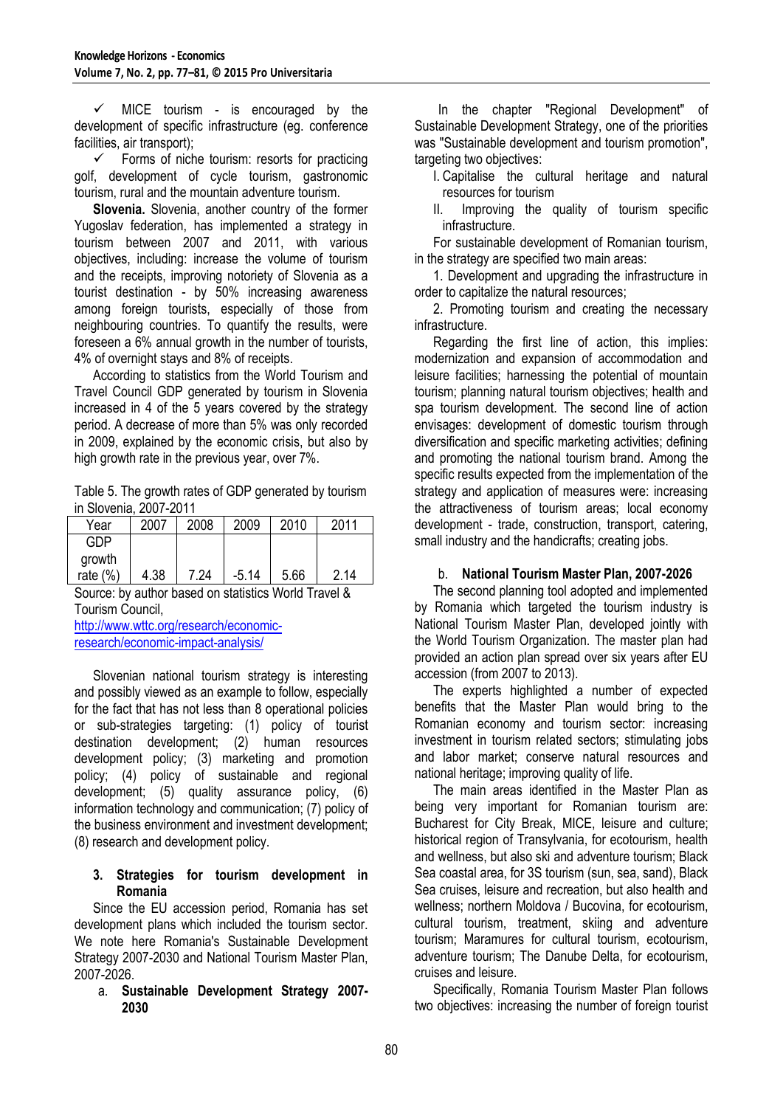$\checkmark$  MICE tourism - is encouraged by the development of specific infrastructure (eg. conference facilities, air transport);

 Forms of niche tourism: resorts for practicing golf, development of cycle tourism, gastronomic tourism, rural and the mountain adventure tourism.

**Slovenia.** Slovenia, another country of the former Yugoslav federation, has implemented a strategy in tourism between 2007 and 2011, with various objectives, including: increase the volume of tourism and the receipts, improving notoriety of Slovenia as a tourist destination - by 50% increasing awareness among foreign tourists, especially of those from neighbouring countries. To quantify the results, were foreseen a 6% annual growth in the number of tourists, 4% of overnight stays and 8% of receipts.

According to statistics from the World Tourism and Travel Council GDP generated by tourism in Slovenia increased in 4 of the 5 years covered by the strategy period. A decrease of more than 5% was only recorded in 2009, explained by the economic crisis, but also by high growth rate in the previous year, over 7%.

Table 5. The growth rates of GDP generated by tourism in Slovenia, 2007-2011

| Year        | 2007 | 2008 | 2009    | 2010 | 2011 |
|-------------|------|------|---------|------|------|
| GDP         |      |      |         |      |      |
| growth      |      |      |         |      |      |
| rate $(\%)$ | 4.38 | 7.24 | $-5.14$ | 5.66 | 2.14 |

Source: by author based on statistics World Travel & Tourism Council,

[http://www.wttc.org/research/economic](http://www.wttc.org/research/economic-research/economic-impact-analysis/)[research/economic-impact-analysis/](http://www.wttc.org/research/economic-research/economic-impact-analysis/)

Slovenian national tourism strategy is interesting and possibly viewed as an example to follow, especially for the fact that has not less than 8 operational policies or sub-strategies targeting: (1) policy of tourist destination development; (2) human resources development policy; (3) marketing and promotion policy; (4) policy of sustainable and regional development; (5) quality assurance policy, (6) information technology and communication; (7) policy of the business environment and investment development; (8) research and development policy.

#### **3. Strategies for tourism development in Romania**

Since the EU accession period, Romania has set development plans which included the tourism sector. We note here Romania's Sustainable Development Strategy 2007-2030 and National Tourism Master Plan, 2007-2026.

#### a. **Sustainable Development Strategy 2007- 2030**

In the chapter "Regional Development" of Sustainable Development Strategy, one of the priorities was "Sustainable development and tourism promotion", targeting two objectives:

I. Capitalise the cultural heritage and natural resources for tourism<br>II. Improving the c

Improving the quality of tourism specific infrastructure.

For sustainable development of Romanian tourism, in the strategy are specified two main areas:

1. Development and upgrading the infrastructure in order to capitalize the natural resources;

2. Promoting tourism and creating the necessary infrastructure.

Regarding the first line of action, this implies: modernization and expansion of accommodation and leisure facilities; harnessing the potential of mountain tourism; planning natural tourism objectives; health and spa tourism development. The second line of action envisages: development of domestic tourism through diversification and specific marketing activities; defining and promoting the national tourism brand. Among the specific results expected from the implementation of the strategy and application of measures were: increasing the attractiveness of tourism areas; local economy development - trade, construction, transport, catering, small industry and the handicrafts; creating jobs.

# b. **National Tourism Master Plan, 2007-2026**

The second planning tool adopted and implemented by Romania which targeted the tourism industry is National Tourism Master Plan, developed jointly with the World Tourism Organization. The master plan had provided an action plan spread over six years after EU accession (from 2007 to 2013).

The experts highlighted a number of expected benefits that the Master Plan would bring to the Romanian economy and tourism sector: increasing investment in tourism related sectors; stimulating jobs and labor market; conserve natural resources and national heritage; improving quality of life.

The main areas identified in the Master Plan as being very important for Romanian tourism are: Bucharest for City Break, MICE, leisure and culture; historical region of Transylvania, for ecotourism, health and wellness, but also ski and adventure tourism; Black Sea coastal area, for 3S tourism (sun, sea, sand), Black Sea cruises, leisure and recreation, but also health and wellness; northern Moldova / Bucovina, for ecotourism, cultural tourism, treatment, skiing and adventure tourism; Maramures for cultural tourism, ecotourism, adventure tourism; The Danube Delta, for ecotourism, cruises and leisure.

Specifically, Romania Tourism Master Plan follows two objectives: increasing the number of foreign tourist